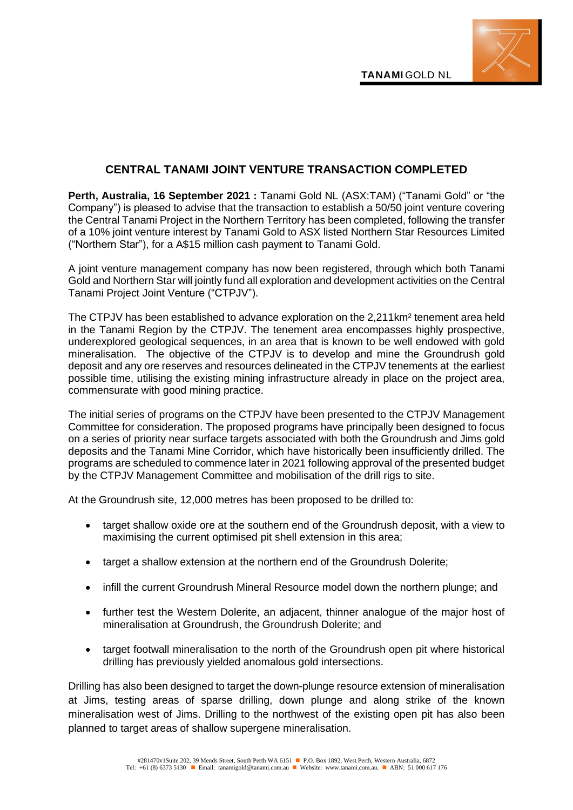

## **CENTRAL TANAMI JOINT VENTURE TRANSACTION COMPLETED**

**Perth, Australia, 16 September 2021 :** Tanami Gold NL (ASX:TAM) ("Tanami Gold" or "the Company") is pleased to advise that the transaction to establish a 50/50 joint venture covering the Central Tanami Project in the Northern Territory has been completed, following the transfer of a 10% joint venture interest by Tanami Gold to ASX listed Northern Star Resources Limited ("Northern Star"), for a A\$15 million cash payment to Tanami Gold.

A joint venture management company has now been registered, through which both Tanami Gold and Northern Star will jointly fund all exploration and development activities on the Central Tanami Project Joint Venture ("CTPJV").

The CTPJV has been established to advance exploration on the 2,211km² tenement area held in the Tanami Region by the CTPJV. The tenement area encompasses highly prospective, underexplored geological sequences, in an area that is known to be well endowed with gold mineralisation. The objective of the CTPJV is to develop and mine the Groundrush gold deposit and any ore reserves and resources delineated in the CTPJV tenements at the earliest possible time, utilising the existing mining infrastructure already in place on the project area, commensurate with good mining practice.

The initial series of programs on the CTPJV have been presented to the CTPJV Management Committee for consideration. The proposed programs have principally been designed to focus on a series of priority near surface targets associated with both the Groundrush and Jims gold deposits and the Tanami Mine Corridor, which have historically been insufficiently drilled. The programs are scheduled to commence later in 2021 following approval of the presented budget by the CTPJV Management Committee and mobilisation of the drill rigs to site.

At the Groundrush site, 12,000 metres has been proposed to be drilled to:

- target shallow oxide ore at the southern end of the Groundrush deposit, with a view to maximising the current optimised pit shell extension in this area;
- target a shallow extension at the northern end of the Groundrush Dolerite;
- infill the current Groundrush Mineral Resource model down the northern plunge; and
- further test the Western Dolerite, an adjacent, thinner analogue of the major host of mineralisation at Groundrush, the Groundrush Dolerite; and
- target footwall mineralisation to the north of the Groundrush open pit where historical drilling has previously yielded anomalous gold intersections.

Drilling has also been designed to target the down-plunge resource extension of mineralisation at Jims, testing areas of sparse drilling, down plunge and along strike of the known mineralisation west of Jims. Drilling to the northwest of the existing open pit has also been planned to target areas of shallow supergene mineralisation.